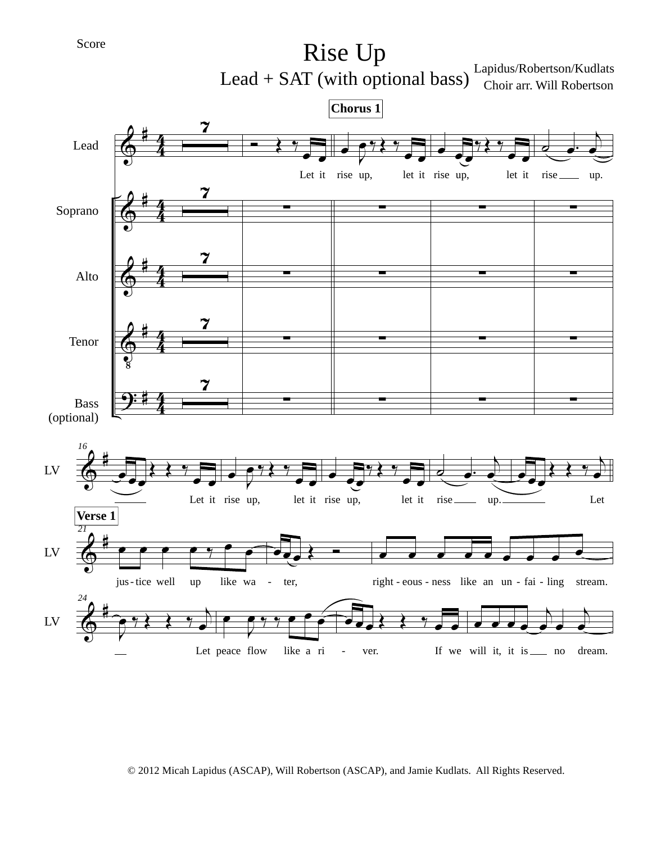Rise Up Lapidus/Robertson/Kudlats Lead  $+$  SAT (with optional bass)  $\frac{Lapiaus/Ko 1000Ku}{Choir arr. Will Robertson}$ 



© 2012 Micah Lapidus (ASCAP), Will Robertson (ASCAP), and Jamie Kudlats. All Rights Reserved.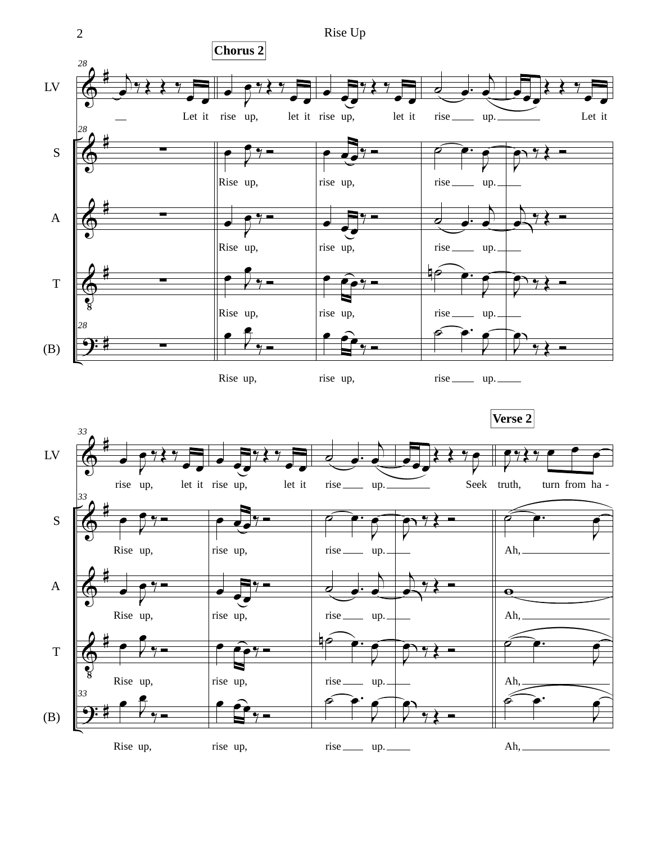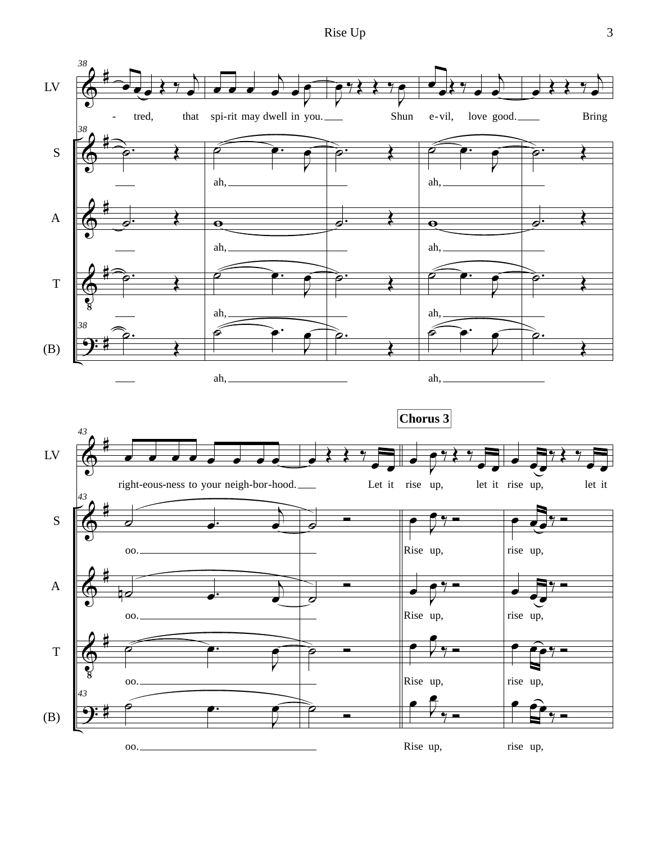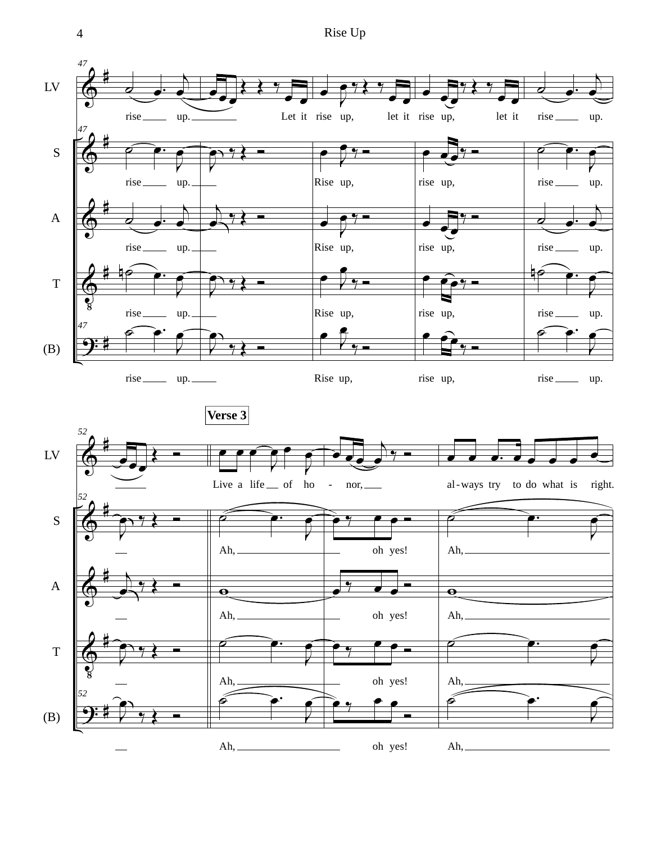4 Rise Up

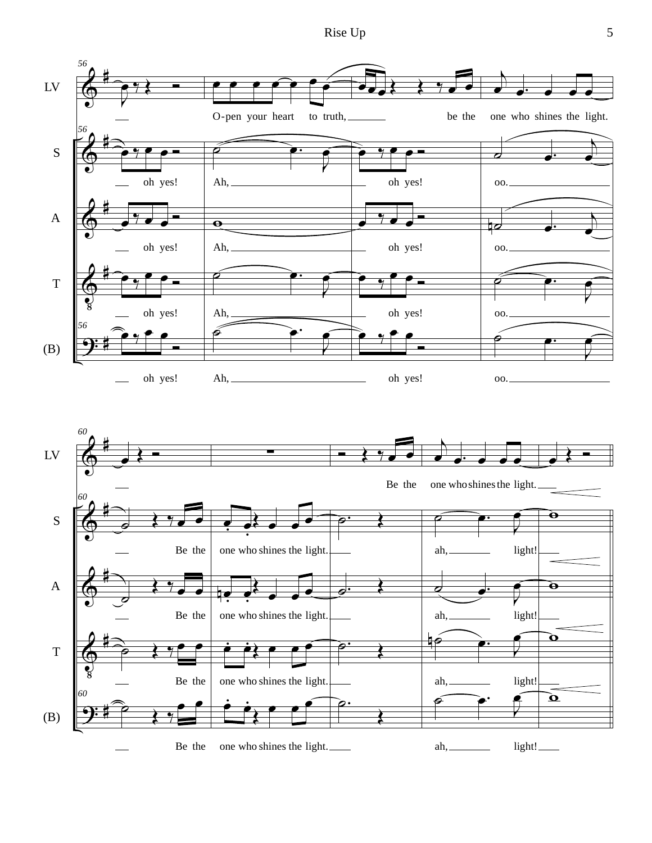Rise Up 5